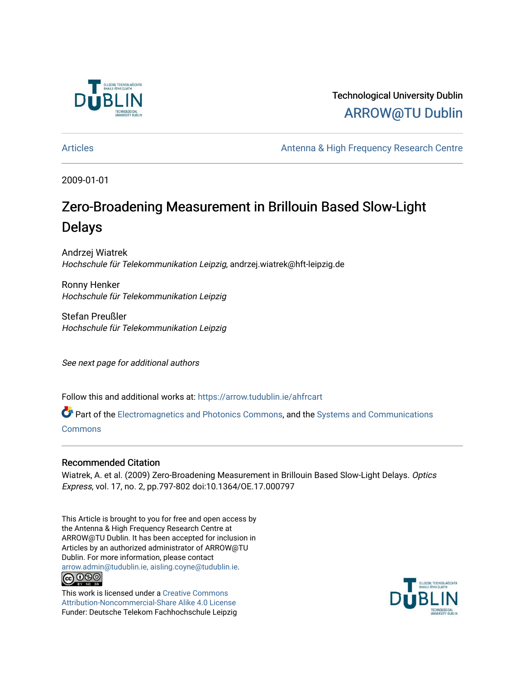

Technological University Dublin [ARROW@TU Dublin](https://arrow.tudublin.ie/) 

[Articles](https://arrow.tudublin.ie/ahfrcart) **Antenna & High Frequency Research Centre** 

2009-01-01

# Zero-Broadening Measurement in Brillouin Based Slow-Light Delays

Andrzej Wiatrek Hochschule für Telekommunikation Leipzig, andrzej.wiatrek@hft-leipzig.de

Ronny Henker Hochschule für Telekommunikation Leipzig

Stefan Preußler Hochschule für Telekommunikation Leipzig

See next page for additional authors

Follow this and additional works at: [https://arrow.tudublin.ie/ahfrcart](https://arrow.tudublin.ie/ahfrcart?utm_source=arrow.tudublin.ie%2Fahfrcart%2F18&utm_medium=PDF&utm_campaign=PDFCoverPages)

Part of the [Electromagnetics and Photonics Commons,](http://network.bepress.com/hgg/discipline/271?utm_source=arrow.tudublin.ie%2Fahfrcart%2F18&utm_medium=PDF&utm_campaign=PDFCoverPages) and the [Systems and Communications](http://network.bepress.com/hgg/discipline/276?utm_source=arrow.tudublin.ie%2Fahfrcart%2F18&utm_medium=PDF&utm_campaign=PDFCoverPages)  **[Commons](http://network.bepress.com/hgg/discipline/276?utm_source=arrow.tudublin.ie%2Fahfrcart%2F18&utm_medium=PDF&utm_campaign=PDFCoverPages)** 

### Recommended Citation

Wiatrek, A. et al. (2009) Zero-Broadening Measurement in Brillouin Based Slow-Light Delays. Optics Express, vol. 17, no. 2, pp.797-802 doi:10.1364/OE.17.000797

This Article is brought to you for free and open access by the Antenna & High Frequency Research Centre at ARROW@TU Dublin. It has been accepted for inclusion in Articles by an authorized administrator of ARROW@TU Dublin. For more information, please contact [arrow.admin@tudublin.ie, aisling.coyne@tudublin.ie](mailto:arrow.admin@tudublin.ie,%20aisling.coyne@tudublin.ie). **@@@** 

This work is licensed under a [Creative Commons](http://creativecommons.org/licenses/by-nc-sa/4.0/) [Attribution-Noncommercial-Share Alike 4.0 License](http://creativecommons.org/licenses/by-nc-sa/4.0/) Funder: Deutsche Telekom Fachhochschule Leipzig

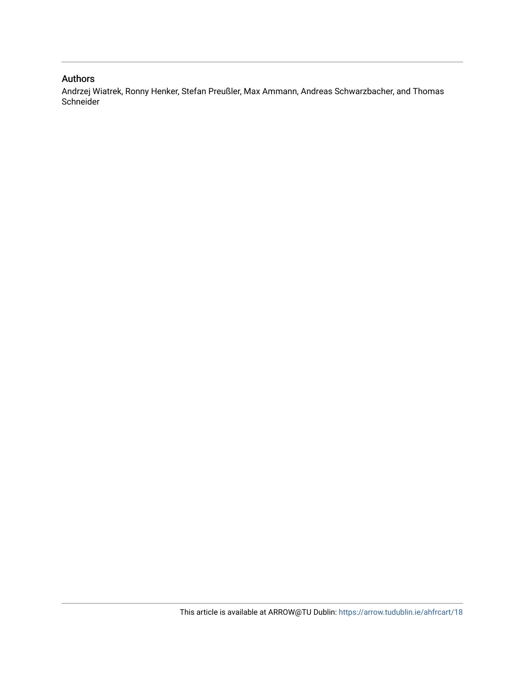## Authors

Andrzej Wiatrek, Ronny Henker, Stefan Preußler, Max Ammann, Andreas Schwarzbacher, and Thomas Schneider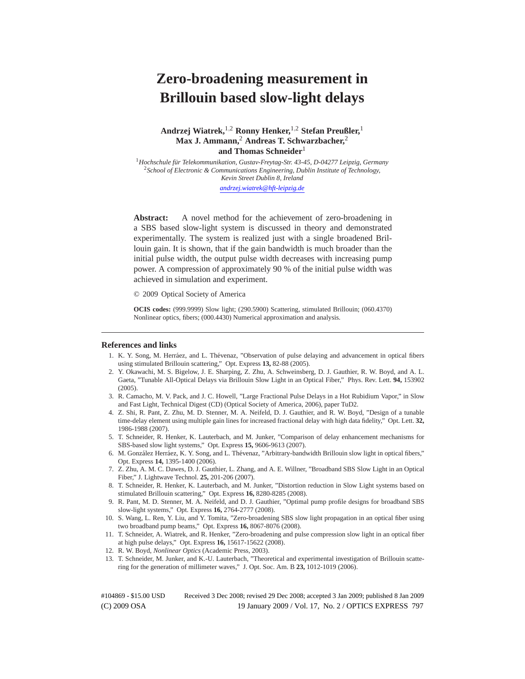## **Zero-broadening measurement in Brillouin based slow-light delays**

#### **Andrzej Wiatrek,**1*,*<sup>2</sup> **Ronny Henker,**1*,*<sup>2</sup> **Stefan Preußler,**<sup>1</sup> **Max J. Ammann,**<sup>2</sup> **Andreas T. Schwarzbacher,**<sup>2</sup> **and Thomas Schneider**<sup>1</sup>

<sup>1</sup> Hochschule für Telekommunikation, Gustav-Freytag-Str. 43-45, D-04277 Leipzig, Germany <sup>2</sup>*School of Electronic & Communications Engineering, Dublin Institute of Technology, Kevin Street Dublin 8, Ireland andrzej.wiatrek@hft-leipzig.de*

**Abstract:** A novel method for the achievement of zero-broadening in a SBS based slow-light system is discussed in theory and demonstrated experimentally. The system is realized just with a single broadened Brillouin gain. It is shown, that if the gain bandwidth is much broader than the initial pulse width, the output pulse width decreases with increasing pump power. A compression of approximately 90 % of the initial pulse width was achieved in simulation and experiment.

© 2009 Optical Society of America

**OCIS codes:** (999.9999) Slow light; (290.5900) Scattering, stimulated Brillouin; (060.4370) Nonlinear optics, fibers; (000.4430) Numerical approximation and analysis.

#### **References and links**

- 1. K. Y. Song, M. Herráez, and L. Thévenaz, "Observation of pulse delaying and advancement in optical fibers using stimulated Brillouin scattering," Opt. Express **13,** 82-88 (2005).
- 2. Y. Okawachi, M. S. Bigelow, J. E. Sharping, Z. Zhu, A. Schweinsberg, D. J. Gauthier, R. W. Boyd, and A. L. Gaeta, "Tunable All-Optical Delays via Brillouin Slow Light in an Optical Fiber," Phys. Rev. Lett. **94,** 153902 (2005).
- 3. R. Camacho, M. V. Pack, and J. C. Howell, "Large Fractional Pulse Delays in a Hot Rubidium Vapor," in Slow and Fast Light, Technical Digest (CD) (Optical Society of America, 2006), paper TuD2.
- 4. Z. Shi, R. Pant, Z. Zhu, M. D. Stenner, M. A. Neifeld, D. J. Gauthier, and R. W. Boyd, "Design of a tunable time-delay element using multiple gain lines for increased fractional delay with high data fidelity," Opt. Lett. **32,** 1986-1988 (2007).
- 5. T. Schneider, R. Henker, K. Lauterbach, and M. Junker, "Comparison of delay enhancement mechanisms for SBS-based slow light systems," Opt. Express **15,** 9606-9613 (2007).
- 6. M. González Herráez, K. Y. Song, and L. Thévenaz, "Arbitrary-bandwidth Brillouin slow light in optical fibers," Opt. Express **14,** 1395-1400 (2006).
- 7. Z. Zhu, A. M. C. Dawes, D. J. Gauthier, L. Zhang, and A. E. Willner, "Broadband SBS Slow Light in an Optical Fiber," J. Lightwave Technol. **25,** 201-206 (2007).
- 8. T. Schneider, R. Henker, K. Lauterbach, and M. Junker, "Distortion reduction in Slow Light systems based on stimulated Brillouin scattering," Opt. Express **16,** 8280-8285 (2008).
- 9. R. Pant, M. D. Stenner, M. A. Neifeld, and D. J. Gauthier, "Optimal pump profile designs for broadband SBS slow-light systems," Opt. Express **16,** 2764-2777 (2008).
- 10. S. Wang, L. Ren, Y. Liu, and Y. Tomita, "Zero-broadening SBS slow light propagation in an optical fiber using two broadband pump beams," Opt. Express **16,** 8067-8076 (2008).
- 11. T. Schneider, A. Wiatrek, and R. Henker, "Zero-broadening and pulse compression slow light in an optical fiber at high pulse delays," Opt. Express **16,** 15617-15622 (2008).
- 12. R. W. Boyd, *Nonlinear Optics* (Academic Press, 2003).
- 13. T. Schneider, M. Junker, and K.-U. Lauterbach, "Theoretical and experimental investigation of Brillouin scattering for the generation of millimeter waves," J. Opt. Soc. Am. B **23,** 1012-1019 (2006).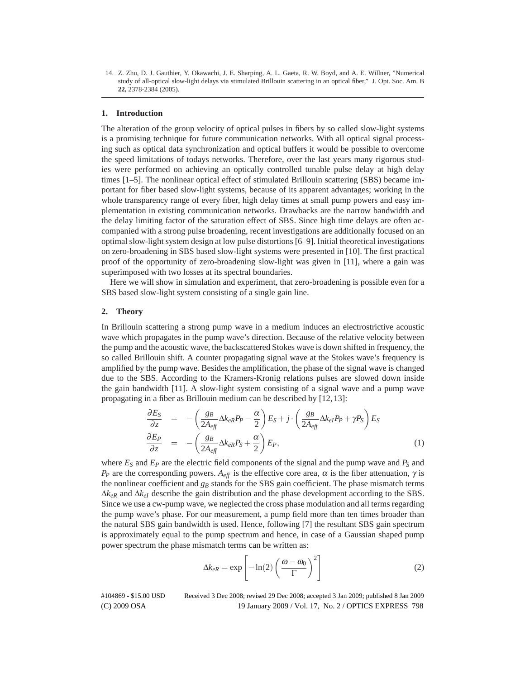14. Z. Zhu, D. J. Gauthier, Y. Okawachi, J. E. Sharping, A. L. Gaeta, R. W. Boyd, and A. E. Willner, "Numerical study of all-optical slow-light delays via stimulated Brillouin scattering in an optical fiber," J. Opt. Soc. Am. B **22,** 2378-2384 (2005).

#### **1. Introduction**

The alteration of the group velocity of optical pulses in fibers by so called slow-light systems is a promising technique for future communication networks. With all optical signal processing such as optical data synchronization and optical buffers it would be possible to overcome the speed limitations of todays networks. Therefore, over the last years many rigorous studies were performed on achieving an optically controlled tunable pulse delay at high delay times [1–5]. The nonlinear optical effect of stimulated Brillouin scattering (SBS) became important for fiber based slow-light systems, because of its apparent advantages; working in the whole transparency range of every fiber, high delay times at small pump powers and easy implementation in existing communication networks. Drawbacks are the narrow bandwidth and the delay limiting factor of the saturation effect of SBS. Since high time delays are often accompanied with a strong pulse broadening, recent investigations are additionally focused on an optimal slow-light system design at low pulse distortions [6–9]. Initial theoretical investigations on zero-broadening in SBS based slow-light systems were presented in [10]. The first practical proof of the opportunity of zero-broadening slow-light was given in [11], where a gain was superimposed with two losses at its spectral boundaries.

Here we will show in simulation and experiment, that zero-broadening is possible even for a SBS based slow-light system consisting of a single gain line.

#### **2. Theory**

In Brillouin scattering a strong pump wave in a medium induces an electrostrictive acoustic wave which propagates in the pump wave's direction. Because of the relative velocity between the pump and the acoustic wave, the backscattered Stokes wave is down shifted in frequency, the so called Brillouin shift. A counter propagating signal wave at the Stokes wave's frequency is amplified by the pump wave. Besides the amplification, the phase of the signal wave is changed due to the SBS. According to the Kramers-Kronig relations pulses are slowed down inside the gain bandwidth [11]. A slow-light system consisting of a signal wave and a pump wave propagating in a fiber as Brillouin medium can be described by [12, 13]:

$$
\frac{\partial E_S}{\partial z} = -\left(\frac{g_B}{2A_{\text{eff}}}\Delta k_{\text{eR}}P_P - \frac{\alpha}{2}\right)E_S + j \cdot \left(\frac{g_B}{2A_{\text{eff}}}\Delta k_{\text{eI}}P_P + \gamma P_S\right)E_S
$$
\n
$$
\frac{\partial E_P}{\partial z} = -\left(\frac{g_B}{2A_{\text{eff}}}\Delta k_{\text{eR}}P_S + \frac{\alpha}{2}\right)E_P, \tag{1}
$$

where  $E_S$  and  $E_P$  are the electric field components of the signal and the pump wave and  $P_S$  and *P<sub>P</sub>* are the corresponding powers.  $A_{\text{eff}}$  is the effective core area,  $\alpha$  is the fiber attenuation,  $\gamma$  is the nonlinear coefficient and  $g_B$  stands for the SBS gain coefficient. The phase mismatch terms  $\Delta k_{eR}$  and  $\Delta k_{eI}$  describe the gain distribution and the phase development according to the SBS. Since we use a cw-pump wave, we neglected the cross phase modulation and all terms regarding the pump wave's phase. For our measurement, a pump field more than ten times broader than the natural SBS gain bandwidth is used. Hence, following [7] the resultant SBS gain spectrum is approximately equal to the pump spectrum and hence, in case of a Gaussian shaped pump power spectrum the phase mismatch terms can be written as:

$$
\Delta k_{eR} = \exp\left[-\ln(2)\left(\frac{\omega - \omega_0}{\Gamma}\right)^2\right] \tag{2}
$$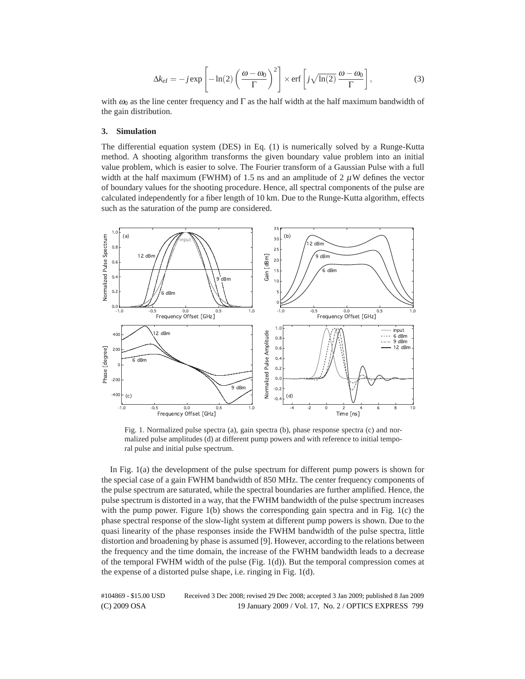$$
\Delta k_{el} = -j \exp\left[-\ln(2)\left(\frac{\omega - \omega_0}{\Gamma}\right)^2\right] \times \text{erf}\left[j\sqrt{\ln(2)}\frac{\omega - \omega_0}{\Gamma}\right],\tag{3}
$$

with  $\omega_0$  as the line center frequency and  $\Gamma$  as the half width at the half maximum bandwidth of the gain distribution.

#### **3. Simulation**

The differential equation system (DES) in Eq. (1) is numerically solved by a Runge-Kutta method. A shooting algorithm transforms the given boundary value problem into an initial value problem, which is easier to solve. The Fourier transform of a Gaussian Pulse with a full width at the half maximum (FWHM) of 1.5 ns and an amplitude of 2  $\mu$ W defines the vector of boundary values for the shooting procedure. Hence, all spectral components of the pulse are calculated independently for a fiber length of 10 km. Due to the Runge-Kutta algorithm, effects such as the saturation of the pump are considered.



Fig. 1. Normalized pulse spectra (a), gain spectra (b), phase response spectra (c) and normalized pulse amplitudes (d) at different pump powers and with reference to initial temporal pulse and initial pulse spectrum.

In Fig. 1(a) the development of the pulse spectrum for different pump powers is shown for the special case of a gain FWHM bandwidth of 850 MHz. The center frequency components of the pulse spectrum are saturated, while the spectral boundaries are further amplified. Hence, the pulse spectrum is distorted in a way, that the FWHM bandwidth of the pulse spectrum increases with the pump power. Figure  $1(b)$  shows the corresponding gain spectra and in Fig.  $1(c)$  the phase spectral response of the slow-light system at different pump powers is shown. Due to the quasi linearity of the phase responses inside the FWHM bandwidth of the pulse spectra, little distortion and broadening by phase is assumed [9]. However, according to the relations between the frequency and the time domain, the increase of the FWHM bandwidth leads to a decrease of the temporal FWHM width of the pulse (Fig. 1(d)). But the temporal compression comes at the expense of a distorted pulse shape, i.e. ringing in Fig. 1(d).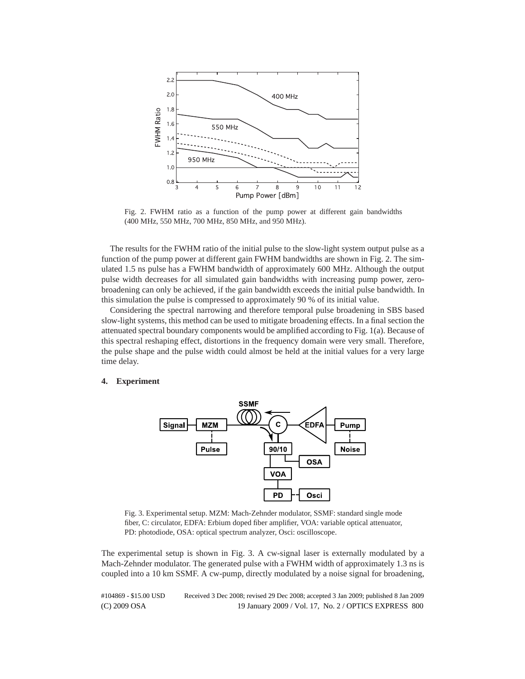

Fig. 2. FWHM ratio as a function of the pump power at different gain bandwidths (400 MHz, 550 MHz, 700 MHz, 850 MHz, and 950 MHz).

The results for the FWHM ratio of the initial pulse to the slow-light system output pulse as a function of the pump power at different gain FWHM bandwidths are shown in Fig. 2. The simulated 1.5 ns pulse has a FWHM bandwidth of approximately 600 MHz. Although the output pulse width decreases for all simulated gain bandwidths with increasing pump power, zerobroadening can only be achieved, if the gain bandwidth exceeds the initial pulse bandwidth. In this simulation the pulse is compressed to approximately 90 % of its initial value.

Considering the spectral narrowing and therefore temporal pulse broadening in SBS based slow-light systems, this method can be used to mitigate broadening effects. In a final section the attenuated spectral boundary components would be amplified according to Fig. 1(a). Because of this spectral reshaping effect, distortions in the frequency domain were very small. Therefore, the pulse shape and the pulse width could almost be held at the initial values for a very large time delay.

#### **4. Experiment**



Fig. 3. Experimental setup. MZM: Mach-Zehnder modulator, SSMF: standard single mode fiber, C: circulator, EDFA: Erbium doped fiber amplifier, VOA: variable optical attenuator, PD: photodiode, OSA: optical spectrum analyzer, Osci: oscilloscope.

The experimental setup is shown in Fig. 3. A cw-signal laser is externally modulated by a Mach-Zehnder modulator. The generated pulse with a FWHM width of approximately 1.3 ns is coupled into a 10 km SSMF. A cw-pump, directly modulated by a noise signal for broadening,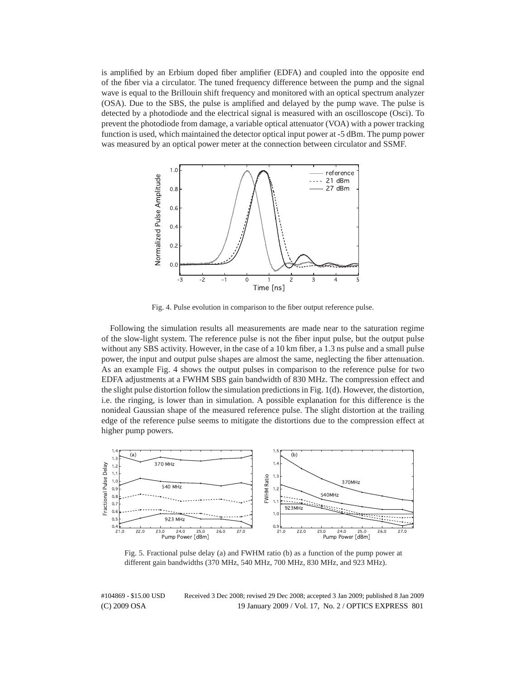is amplified by an Erbium doped fiber amplifier (EDFA) and coupled into the opposite end of the fiber via a circulator. The tuned frequency difference between the pump and the signal wave is equal to the Brillouin shift frequency and monitored with an optical spectrum analyzer (OSA). Due to the SBS, the pulse is amplified and delayed by the pump wave. The pulse is detected by a photodiode and the electrical signal is measured with an oscilloscope (Osci). To prevent the photodiode from damage, a variable optical attenuator (VOA) with a power tracking function is used, which maintained the detector optical input power at -5 dBm. The pump power was measured by an optical power meter at the connection between circulator and SSMF.



Fig. 4. Pulse evolution in comparison to the fiber output reference pulse.

Following the simulation results all measurements are made near to the saturation regime of the slow-light system. The reference pulse is not the fiber input pulse, but the output pulse without any SBS activity. However, in the case of a 10 km fiber, a 1.3 ns pulse and a small pulse power, the input and output pulse shapes are almost the same, neglecting the fiber attenuation. As an example Fig. 4 shows the output pulses in comparison to the reference pulse for two EDFA adjustments at a FWHM SBS gain bandwidth of 830 MHz. The compression effect and the slight pulse distortion follow the simulation predictions in Fig. 1(d). However, the distortion, i.e. the ringing, is lower than in simulation. A possible explanation for this difference is the nonideal Gaussian shape of the measured reference pulse. The slight distortion at the trailing edge of the reference pulse seems to mitigate the distortions due to the compression effect at higher pump powers.



Fig. 5. Fractional pulse delay (a) and FWHM ratio (b) as a function of the pump power at different gain bandwidths (370 MHz, 540 MHz, 700 MHz, 830 MHz, and 923 MHz).